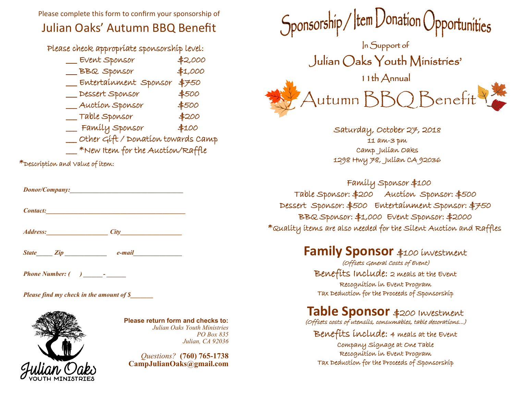Please complete this form to confirm your sponsorship of

# Julian Oaks' Autumn BBQ Benefit

Please check appropriate sponsorship level:

| Event Sponsor                      | \$2,000 |
|------------------------------------|---------|
| BBQ Sponsor                        | \$1,000 |
| Entertainment Sponsor              | \$750   |
| Dessert Sponsor                    | \$500   |
| Auction Sponsor                    | \$500   |
| Table Sponsor                      | \$200   |
| Family Sponsor                     | \$100   |
| Other Gift / Donation towards Camp |         |
| *New Item for the Auction/Raffle   |         |

\*Description and Value of item:

| Donor/Company:  |      |  |
|-----------------|------|--|
| <b>Contact:</b> |      |  |
| <b>Address:</b> | City |  |

*State\_\_\_\_\_ Zip \_\_\_\_\_\_\_\_\_\_\_\_\_ e-mail\_\_\_\_\_\_\_\_\_\_\_\_\_\_\_*

*Phone Number: ( ) \_\_\_\_\_\_- \_\_\_\_\_\_*

*Please find my check in the amount of \$\_\_\_\_\_\_\_*



**Please return form and checks to:** *Julian Oaks Youth Ministries PO Box 835 Julian, CA 92036* 

*Questions?* **(760) 765-1738 CampJulianOaks@gmail.com**



Saturday, October 27, 2018 11 am-3 pm Camp Julian Oaks 1298 Hwy 78, Julian CA 92036

 Family Sponsor \$100 Table Sponsor: \$200 Auction Sponsor: \$500 Dessert Sponsor: \$500 Entertainment Sponsor: \$750 BBQ Sponsor: \$1,000 Event Sponsor: \$2000 \*Quality items are also needed for the Silent Auction and Raffles

# **Family Sponsor** \$100 investment

(Offsets General Costs of Event) Benefits Include: 2 meals at the Event Recognition in Event Program Tax Deduction for the Proceeds of Sponsorship

# **Table Sponsor** \$200 Investment

(Offsets costs of utensils, consumables, table decorations...)

Benefits include: 4 meals at the Event Company Signage at One Table Recognition in Event Program Tax Deduction for the Proceeds of Sponsorship